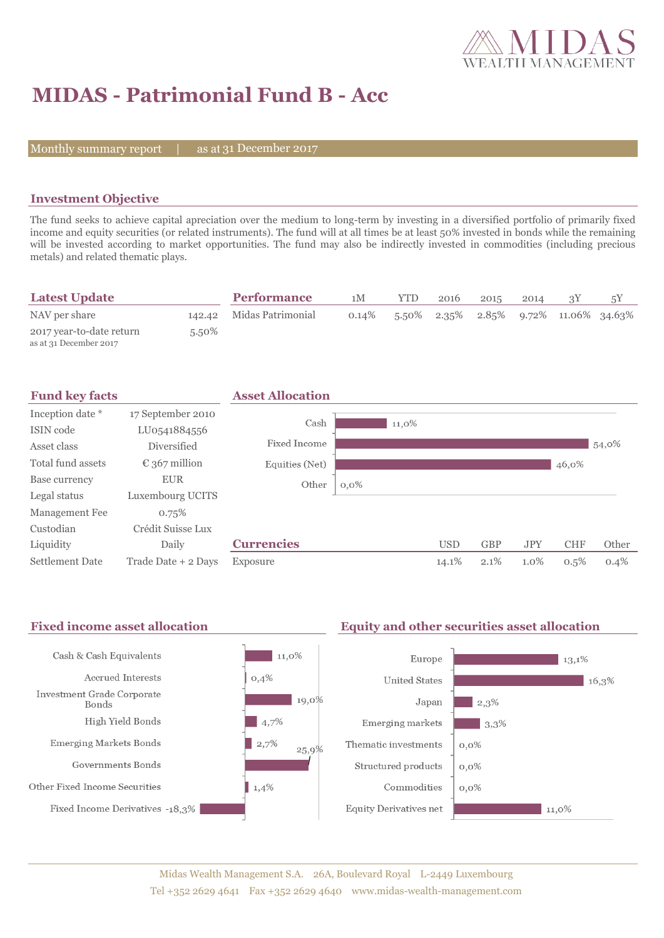

# **MIDAS - Patrimonial Fund B - Acc**

Monthly summary report  $|$ 

as at 31 December 2017

### **Investment Objective**

The fund seeks to achieve capital apreciation over the medium to long-term by investing in a diversified portfolio of primarily fixed income and equity securities (or related instruments). The fund will at all times be at least 50% invested in bonds while the remaining will be invested according to market opportunities. The fund may also be indirectly invested in commodities (including precious metals) and related thematic plays.

| <b>Latest Update</b>                               |          | <b>Performance</b>       | 1M       | YTD. | 2016 | 2015 | 2014 |                                          |  |
|----------------------------------------------------|----------|--------------------------|----------|------|------|------|------|------------------------------------------|--|
| NAV per share                                      |          | 142.42 Midas Patrimonial | $0.14\%$ |      |      |      |      | $5.50\%$ 2.35% 2.85% 9.72% 11.06% 34.63% |  |
| 2017 year-to-date return<br>as at 31 December 2017 | $5.50\%$ |                          |          |      |      |      |      |                                          |  |



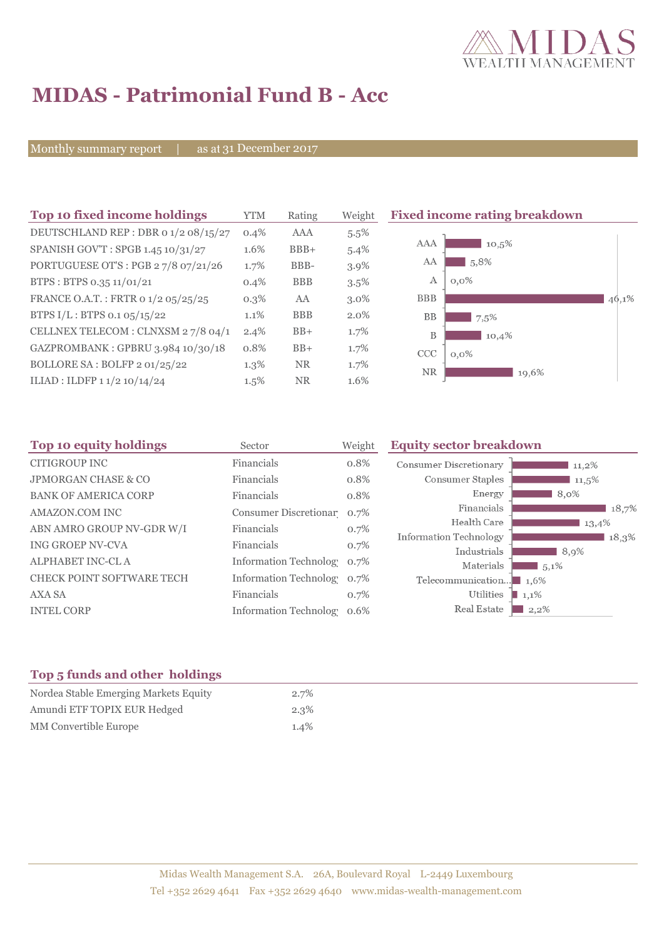

# **MIDAS - Patrimonial Fund B - Acc**

Monthly summary report | as at 31 December 2017

| Top 10 fixed income holdings         | <b>YTM</b> | Rating     | Weight  | <b>Fixed income rating breakdown</b> |
|--------------------------------------|------------|------------|---------|--------------------------------------|
| DEUTSCHLAND REP : DBR 0 1/2 08/15/27 | 0.4%       | AAA        | 5.5%    |                                      |
| SPANISH GOV'T: SPGB 1.45 10/31/27    | 1.6%       | $BBB+$     | 5.4%    | AAA<br>10,5%                         |
| PORTUGUESE OT'S : PGB 27/8 07/21/26  | 1.7%       | BBB-       | 3.9%    | 5,8%<br>AA                           |
| BTPS: BTPS 0.35 11/01/21             | 0.4%       | <b>BBB</b> | $3.5\%$ | $0,0\%$<br>А                         |
| FRANCE O.A.T.: FRTR 0 1/2 05/25/25   | $0.3\%$    | AA         | $3.0\%$ | <b>BBB</b><br>46,1%                  |
| BTPS $I/L$ : BTPS 0.1 05/15/22       | 1.1%       | <b>BBB</b> | $2.0\%$ | <b>BB</b><br>7,5%                    |
| CELLNEX TELECOM : CLNXSM 27/8 04/1   | $2.4\%$    | $BB+$      | 1.7%    | B<br>10,4%                           |
| GAZPROMBANK: GPBRU 3.984 10/30/18    | 0.8%       | $BB+$      | 1.7%    | CCC<br>$0.0\%$                       |
| BOLLORE SA : BOLFP 2 01/25/22        | $1.3\%$    | <b>NR</b>  | $1.7\%$ | <b>NR</b><br>19,6%                   |
| ILIAD : ILDFP 1 1/2 10/14/24         | $1.5\%$    | <b>NR</b>  | 1.6%    |                                      |

| Sector     | Weight | <b>Equity sector breakdown</b>                                                                                          |
|------------|--------|-------------------------------------------------------------------------------------------------------------------------|
| Financials | 0.8%   | <b>Consumer Discretionary</b><br>$11,2\%$                                                                               |
| Financials | 0.8%   | Consumer Staples<br>11,5%                                                                                               |
| Financials | 0.8%   | Energy<br>8,0%                                                                                                          |
|            | 0.7%   | Financials<br>18,7%                                                                                                     |
| Financials | 0.7%   | Health Care<br>13,4%                                                                                                    |
| Financials | 0.7%   | Information Technology<br>18,3%<br>Industrials                                                                          |
|            | 0.7%   | 8,9%<br>Materials<br>$\frac{1}{2}$ 5,1%                                                                                 |
|            | 0.7%   | Telecommunication<br>$1.6\%$                                                                                            |
| Financials | 0.7%   | Utilities<br>1,1%                                                                                                       |
|            | 0.6%   | Real Estate<br>$2,2\%$                                                                                                  |
|            |        | Consumer Discretionar<br><b>Information Technology</b><br><b>Information Technolog</b><br><b>Information Technology</b> |

### **Top 5 funds and other holdings**

| Nordea Stable Emerging Markets Equity | 2.7%    |
|---------------------------------------|---------|
| Amundi ETF TOPIX EUR Hedged           | $2.3\%$ |
| MM Convertible Europe                 | $1.4\%$ |